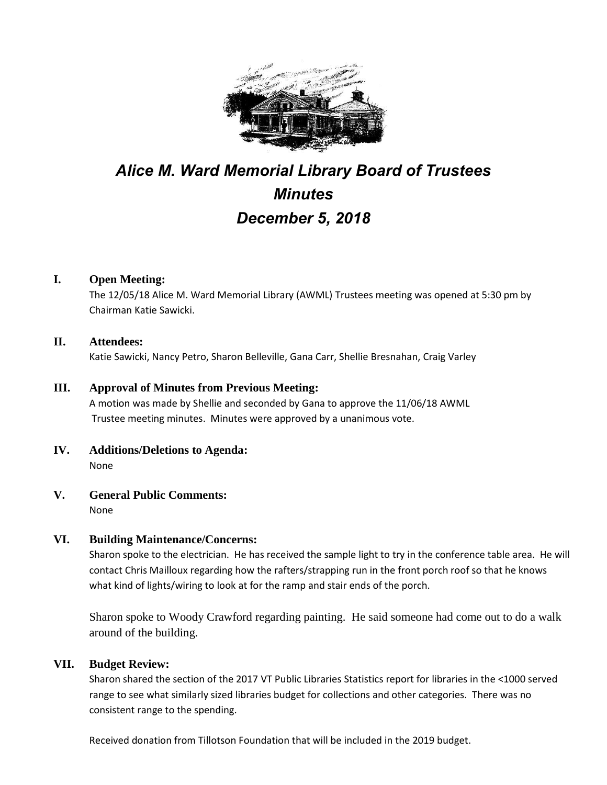

# *Alice M. Ward Memorial Library Board of Trustees Minutes December 5, 2018*

## **I. Open Meeting:**

The 12/05/18 Alice M. Ward Memorial Library (AWML) Trustees meeting was opened at 5:30 pm by Chairman Katie Sawicki.

## **II. Attendees:**

Katie Sawicki, Nancy Petro, Sharon Belleville, Gana Carr, Shellie Bresnahan, Craig Varley

#### **III. Approval of Minutes from Previous Meeting:**

A motion was made by Shellie and seconded by Gana to approve the 11/06/18 AWML Trustee meeting minutes. Minutes were approved by a unanimous vote.

- **IV. Additions/Deletions to Agenda:** None
- **V. General Public Comments:**

None

## **VI. Building Maintenance/Concerns:**

Sharon spoke to the electrician. He has received the sample light to try in the conference table area. He will contact Chris Mailloux regarding how the rafters/strapping run in the front porch roof so that he knows what kind of lights/wiring to look at for the ramp and stair ends of the porch.

Sharon spoke to Woody Crawford regarding painting. He said someone had come out to do a walk around of the building.

## **VII. Budget Review:**

Sharon shared the section of the 2017 VT Public Libraries Statistics report for libraries in the <1000 served range to see what similarly sized libraries budget for collections and other categories. There was no consistent range to the spending.

Received donation from Tillotson Foundation that will be included in the 2019 budget.